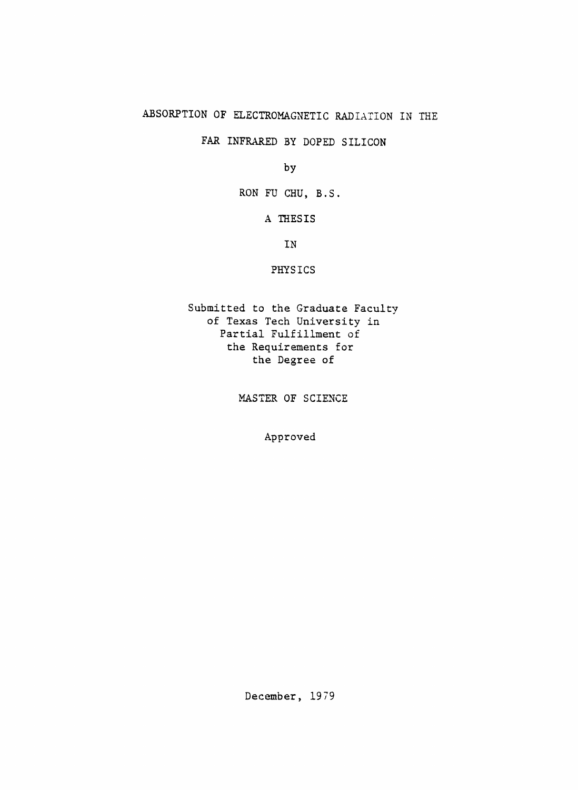## ABSORPTION OF ELECTROMAGNETIC RADIATION IN THE

FAR INFRARED BY DOPED SILICON

by

RON FU CHU, B.S.

A THESIS

IN

PHYSICS

Submitted to the Graduate Faculty of Texas Tech University in Partial Fulfillment of the Requirements for the Degree of

MASTER OF SCIENCE

Approved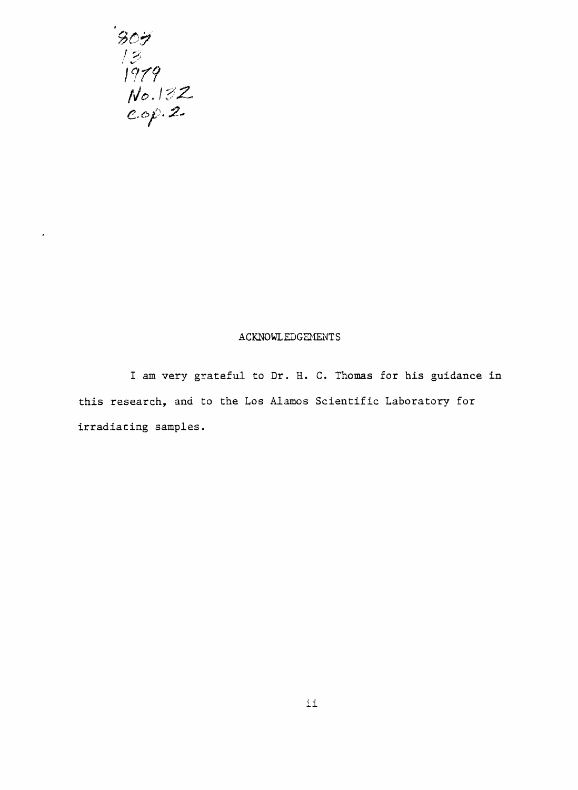

 $\hat{\pmb{z}}$ 

#### ACKNOWLEDGEMENTS

I am very grateful to Dr. H. C. Thomas for his guidance in this research, and to the Los Alamos Scientific Laboratory for irradiating samples.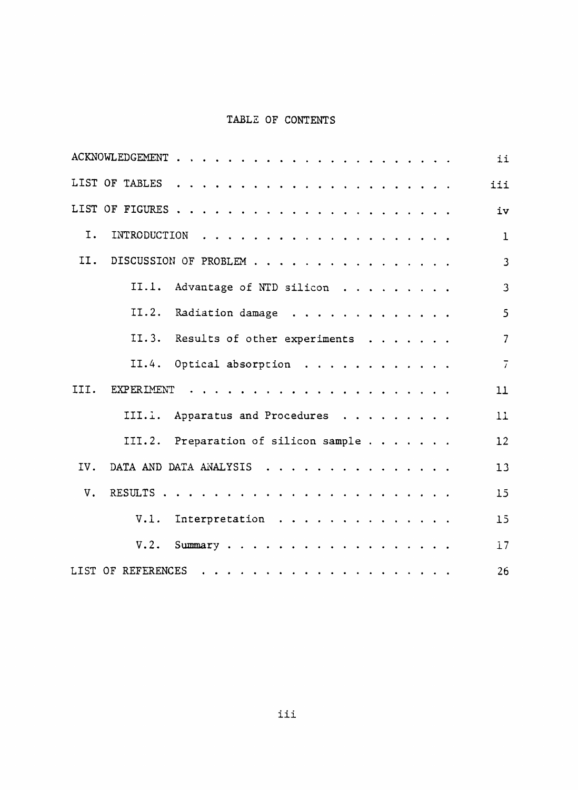## TABLE OF CONTENTS

| ii                                         |                |
|--------------------------------------------|----------------|
| iii                                        |                |
| iv                                         |                |
| I.                                         | $\mathbf 1$    |
| II.<br>DISCUSSION OF PROBLEM               | $\mathbf{3}$   |
| II.1. Advantage of NTD silicon             | $\overline{3}$ |
| II.2. Radiation damage                     | 5 <sup>5</sup> |
| II.3. Results of other experiments         | $\overline{7}$ |
| $\overline{7}$<br>II.4. Optical absorption |                |
| III.<br>11                                 |                |
| III.1. Apparatus and Procedures<br>11      |                |
| III.2. Preparation of silicon sample<br>12 |                |
| IV.<br>DATA AND DATA ANALYSIS<br>13        |                |
| $V_{\star}$<br>15                          |                |
| V.1. Interpretation<br>15                  |                |
| 17<br>$V.2.$ Summary                       |                |
| 26                                         |                |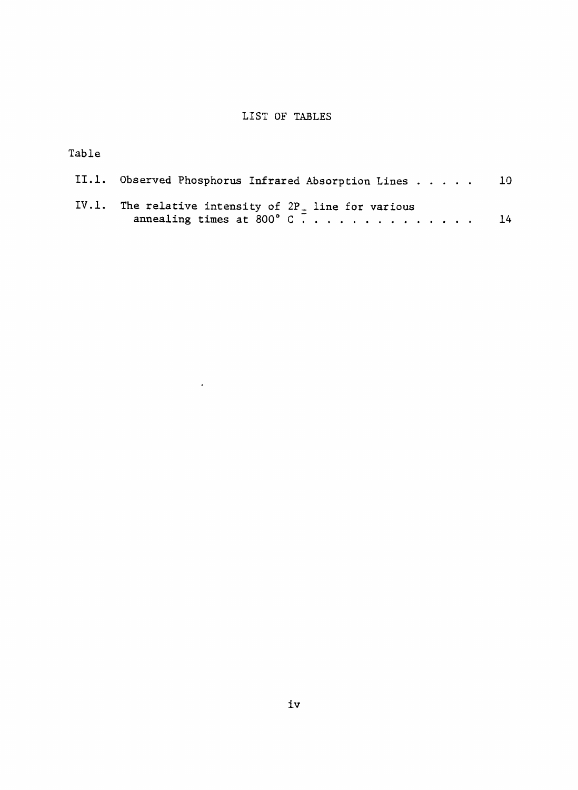## LIST OF TABLES

Table

| II.1. Observed Phosphorus Infrared Absorption Lines 10                                  |  |
|-----------------------------------------------------------------------------------------|--|
| IV.1. The relative intensity of $2P_+$ line for various<br>annealing times at 800° C 14 |  |

 $\sim$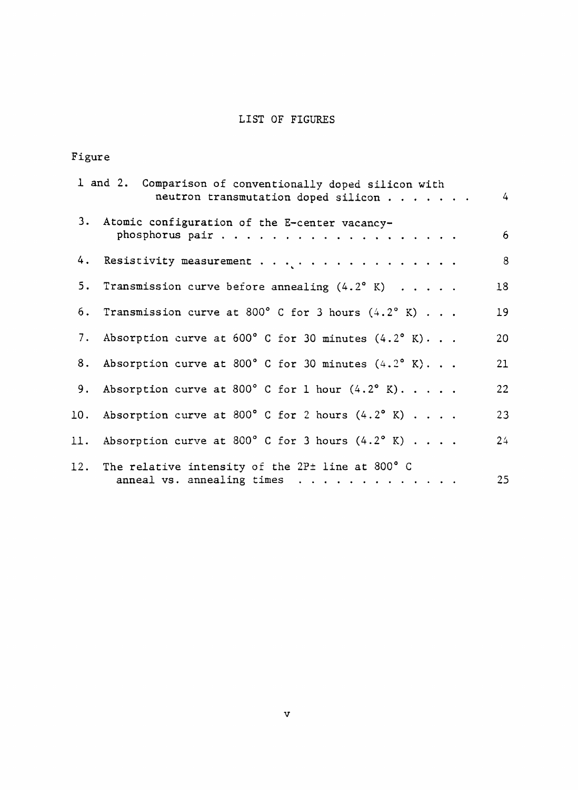# LIST OF FIGURES

# Figure

|    | 1 and 2. Comparison of conventionally doped silicon with<br>neutron transmutation doped silicon | $4 -$          |
|----|-------------------------------------------------------------------------------------------------|----------------|
|    | 3. Atomic configuration of the E-center vacancy-                                                | 6 <sup>1</sup> |
| 4. |                                                                                                 | 8              |
|    | 5. Transmission curve before annealing (4.2° K)                                                 | 18             |
|    | 6. Transmission curve at 800° C for 3 hours $(4.2^{\circ}$ K)                                   | 19             |
|    | 7. Absorption curve at $600^{\circ}$ C for 30 minutes $(4.2^{\circ}$ K)                         | 20             |
|    | 8. Absorption curve at 800° C for 30 minutes $(4.2^{\circ}$ K)                                  | 21             |
|    | 9. Absorption curve at 800° C for 1 hour $(4.2^{\circ}$ K)                                      | 22             |
|    | 10. Absorption curve at 800° C for 2 hours $(4.2^{\circ}$ K)                                    | 23             |
|    | 11. Absorption curve at 800° C for 3 hours $(4.2^{\circ}$ K)                                    | $24^{1}$       |
|    | 12. The relative intensity of the $2P\pm$ line at 800° C<br>anneal vs. annealing times          | 25             |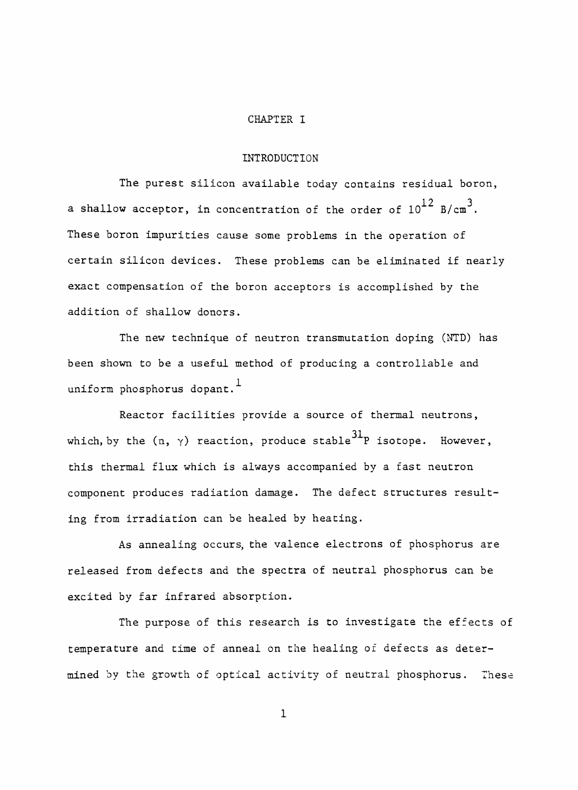#### CHAPTER I

#### INTRODUCTION

The purest silicon available today contains residual boron, a shallow acceptor, in concentration of the order of  $10^{12}$  B/cm<sup>3</sup>. These boron impurities cause some problems in the operation of certain silicon devices. These problems can be eliminated if nearly exact compensation of the boron acceptors is accomplished by the addition of shallow donors.

The new technique of neutron transmutation doping (NTD) has been shown to be a useful method of producing a controllable and uniform phosphorus dopant.<sup>1</sup>

Reactor facilities provide a source of thermal neutrons, which, by the  $(n, \gamma)$  reaction, produce stable<sup>31</sup>P isotope. However. this thermal flux which is always accompanied by a fast neutron component produces radiation damage. The defect structures resulting from irradiation can be healed by heating.

As annealing occurs, the valence electrons of phosphorus are released from defects and the spectra of neutral phosphorus can be excited by far infrared absorption.

The purpose of this research is to investigate the effects of temperature and time of anneal on the healing of defects as determined by the growth of optical activity of neutral phosphorus. These

 $\mathbf 1$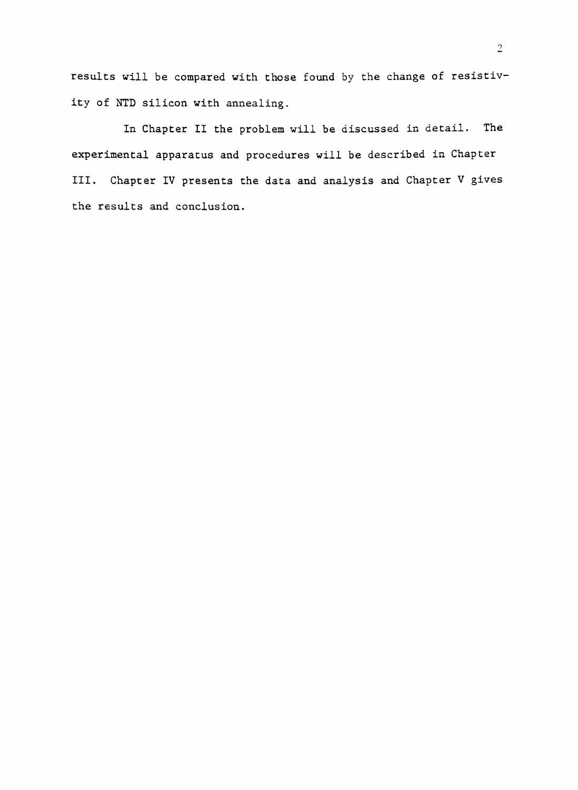results will be compared with those found by the change of resistivity of NTD silicon with annealing.

In Chapter II the problem will be discussed in detail. The experimental apparatus and procedures will be described in Chapter III. Chapter IV presents the data and analysis and Chapter V gives the results and conclusion.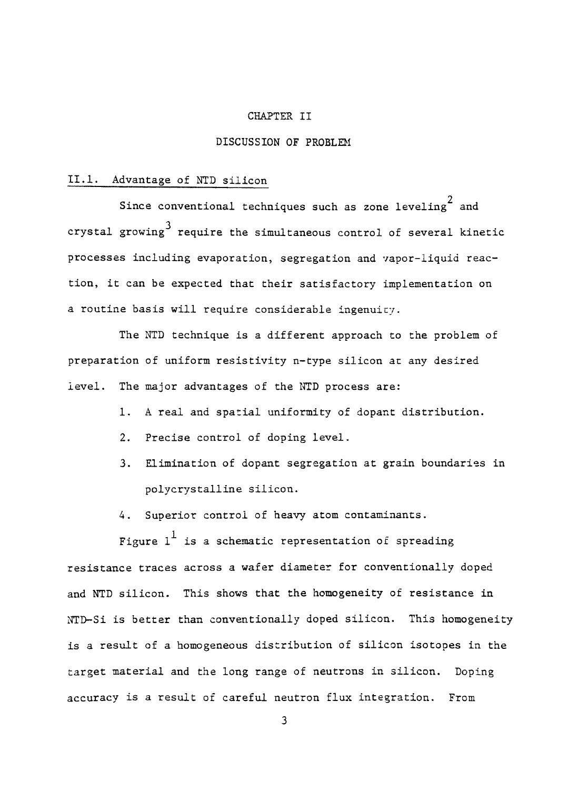#### CHAPTER II

#### DISCUSSION OF PROBLEM

#### II.1. Advantage of NTD silicon

Since conventional techniques such as zone leveling<sup>2</sup> and 3 crystal growing require the simultaneous control of several kinetic processes including evaporation, segregation and vapor-liquid reaction, it can be expected that their satisfactory implementation on a routine basis will require considerable ingenuity.

The NTD technique is a different approach to the problem of preparation of uniform resistivity n-type silicon at any desired level. The major advantages of the NTD process are:

- 1. A real and spatial uniformity of dopant distribution.
- 2. Precise control of doping level.
- 3. Elimination of dopant segregation at grain boundaries in polycrystalline silicon.
- 4. Superior control of heavy atom contaminants.

Figure  $1^{\frac{1}{2}}$  is a schematic representation of spreading resistance traces across a wafer diameter for conventionally doped and NTD silicon. This shows that the homogeneity of resistance in NTD-Si is better than conventionally doped silicon. This homogeneity is a result of a homogeneous distribution of silicon isotopes in the target material and the long range of neutrons in silicon. Doping accuracy is a result of careful neutron flux integration. From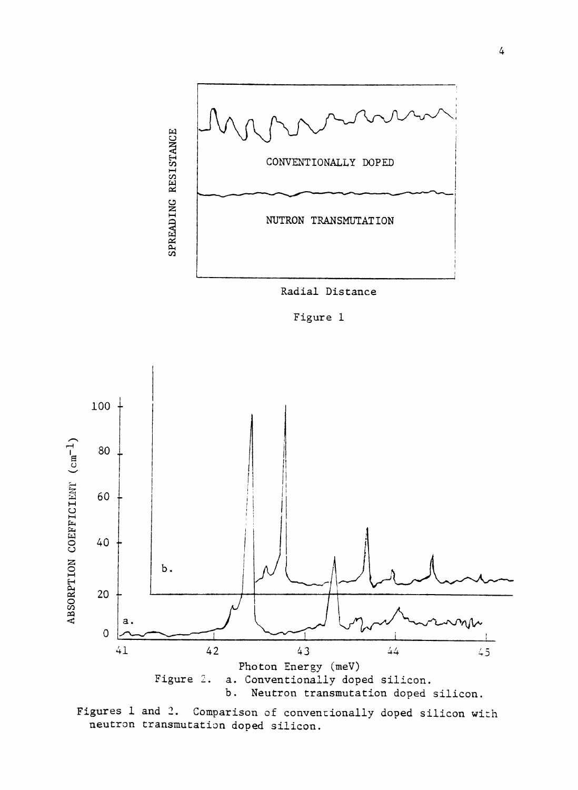

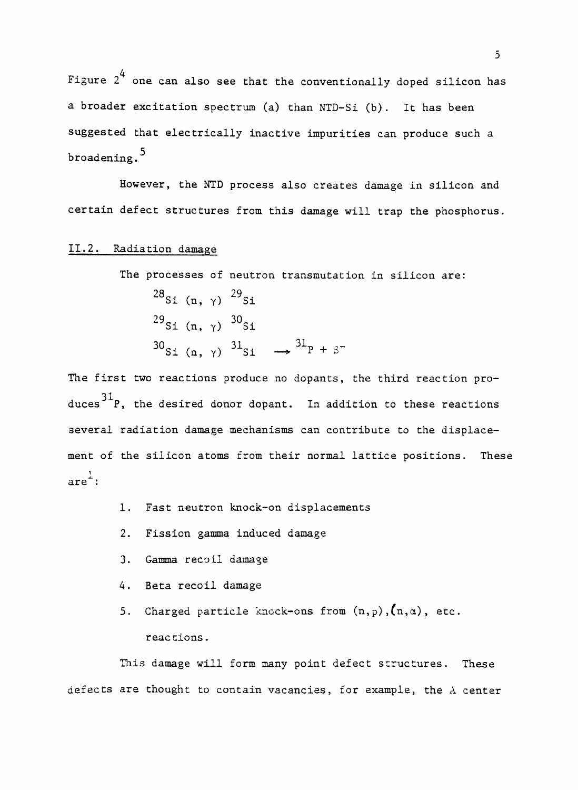4 Figure 2 one can also see that the conventionally doped silicon has a broader excitation spectrum (a) than NTD-Si (b). It has been suggested that electrically inactive impurities can produce such a broadening.<sup>5</sup>

However, the NTD process also creates damage in silicon and certain defect structures from this damage will trap the phosphorus.

### II.2. Radiation damage

The processes of neutron transmutation in silicon are:

 $28_{\rm ci}$  (p  $\omega$ )  $29_{\rm ci}$ Si  $(n, \gamma)$  si  $^{29}$ Si (n,  $\gamma$ )  $^{30}$ Si  $\overline{S}$  (ii,  $\overline{S}$ ) Si  $\overline{S}$  $30c_i (r x)^{31}c_i \rightarrow ^{31}P$  $S = \langle n, y \rangle$   $S =$ 

The first two reactions produce no dopants, the third reaction produces  $31$  P, the desired donor dopant. In addition to these reactions several radiation damage mechanisms can contribute to the displacement of the silicon atoms from their normal lattice positions. These  $are^{\frac{1}{2}}$ :

- 1. Fast neutron knock-on displacements
- 2. Fission gamma induced damage
- 3. Gamma recoil damage
- 4. Beta recoil damage
- 5. Charged particle knock-ons from  $(n, p)$ ,  $(n, \alpha)$ , etc. reactions.

This damage will form many point defect structures. These defects are thought to contain vacancies, for example, the A center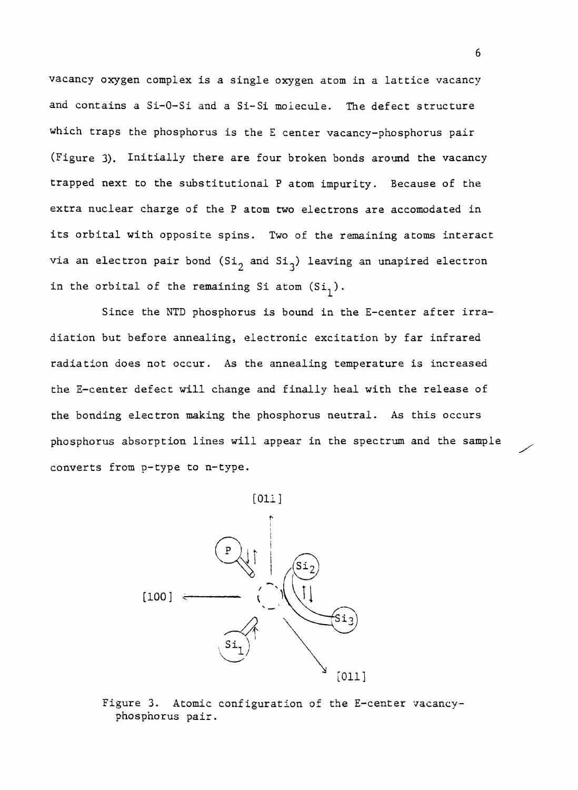vacancy oxygen complex is a single oxygen atom in a lattice vacancy and contains a Si-O-Si and a Si-Si molecule. The defect structure which traps the phosphorus is the E center vacancy-phosphorus pair (Figure 3). Initially there are four broken bonds around the vacancy trapped next to the substitutional P atom impurity. Because of the extra nuclear charge of the P atom two electrons are accomodated in its orbital with opposite spins. Two of the remaining atoms interact via an electron pair bond  $(Si_{\gamma}$  and  $Si_{\gamma})$  leaving an unapired electron in the orbital of the remaining Si atom  $(Si_1)$ .

Since the NTD phosphorus is bound in the E-center after irradiation but before annealing, electronic excitation by far infrared radiation does not occur. As the annealing temperature is increased the E-center defect will change and finally heal with the release of the bonding electron making the phosphorus neutral. As this occurs phosphorus absorption lines will appear in the spectrum and the sample converts from p-type to n-type.

[Oil]



Figure 3. Atomic configuration of the E-center vacancyphosphorus pair.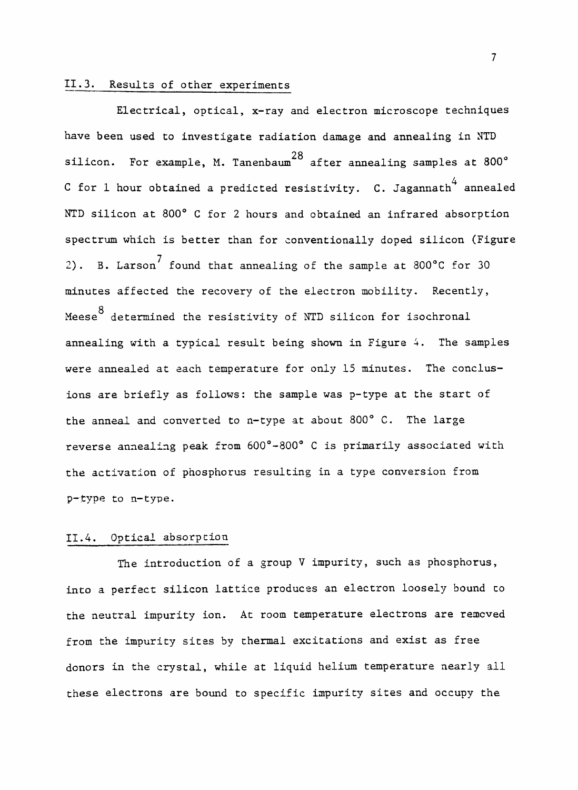## II.3. Results of other experiments

Electrical, optical, x-ray and electron microscope techniques have been used to investigate radiation damage and annealing in NTD silicon. For example, M. Tanenbaum<sup>28</sup> after annealing samples at 800 $^{\circ}$ 4  ${\tt C}$  for  $1$  hour obtained a predicted resistivity.  ${\tt C.}$  Jagannath $^{\top}$  annealed NTD silicon at 800° C for 2 hours and obtained an infrared absorption spectrum which is better than for conventionally doped silicon (Figure 2). B. Larson<sup> $\prime$ </sup> found that annealing of the sample at 800°C for 30 minutes affected the recovery of the electron mobility. Recently, Meese<sup>8</sup> determined the resistivity of NTD silicon for isochronal annealing with a typical result being shown in Figure 4. The samples were annealed at each temperature for only 15 minutes. The conclusions are briefly as follows: the sample was p-type at the start of the anneal and converted to n-type at about 800° C. The large the activation of phosphorus resulting in a type conversion from p-type to n-type.

## II.4. Optical absorption

The introduction of a group V impurity, such as phosphorus, into a perfect silicon lattice produces an electron loosely bound to the neutral impurity ion. At room temperature electrons are removed from the impurity sites by thermal excitations and exist as free donors in the crystal, while at liquid helium temperature nearly all these electrons are bound to specific impurity sites and occupy the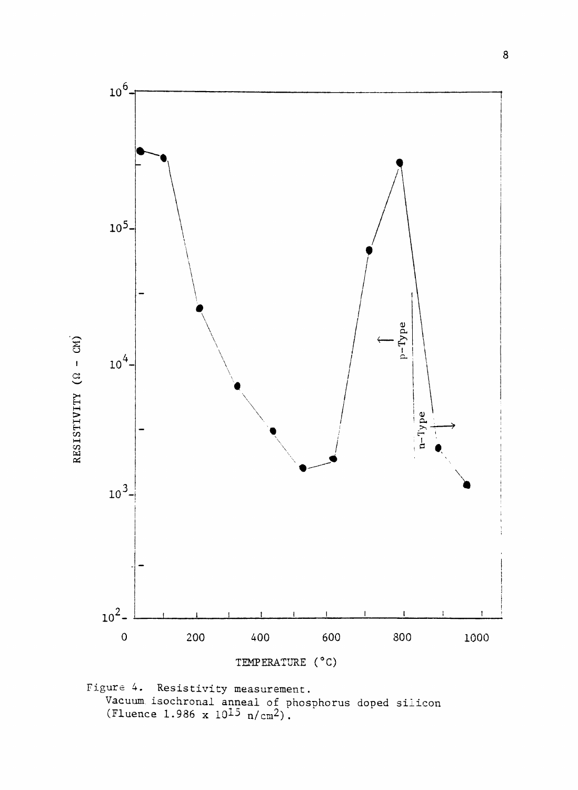

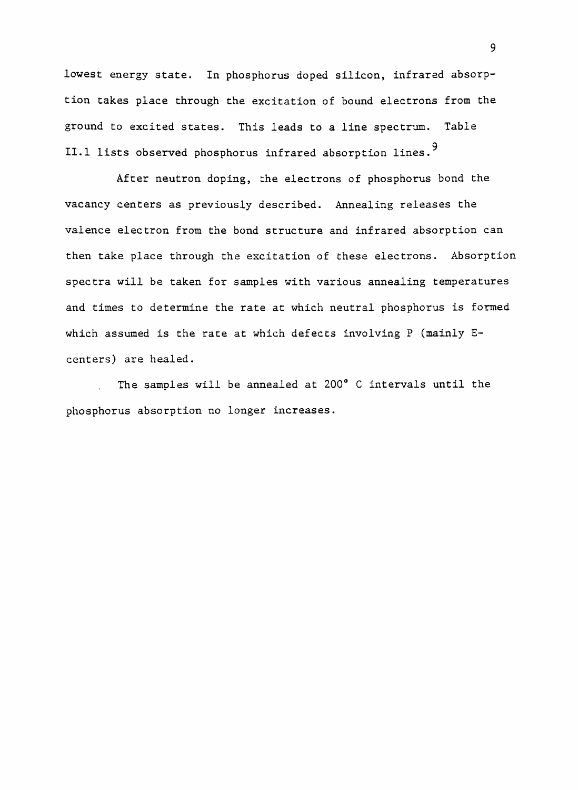lowest energy state. In phosphorus doped silicon, infrared absorption takes place through the excitation of bound electrons from the ground to excited states. This leads to a line spectrum. Table 9 II.1 lists observed phosphorus infrared absorption lines.

After neutron doping, the electrons of phosphorus bond the vacancy centers as previously described. Annealing releases the valence electron from the bond structure and infrared absorption can then take place through the excitation of these electrons. Absorption spectra will be taken for samples with various annealing temperatures and times to determine the rate at which neutral phosphorus is formed which assumed is the rate at which defects involving P (mainly Ecenters) are healed.

The samples will be annealed at 200° C intervals until the phosphorus absorption no longer increases.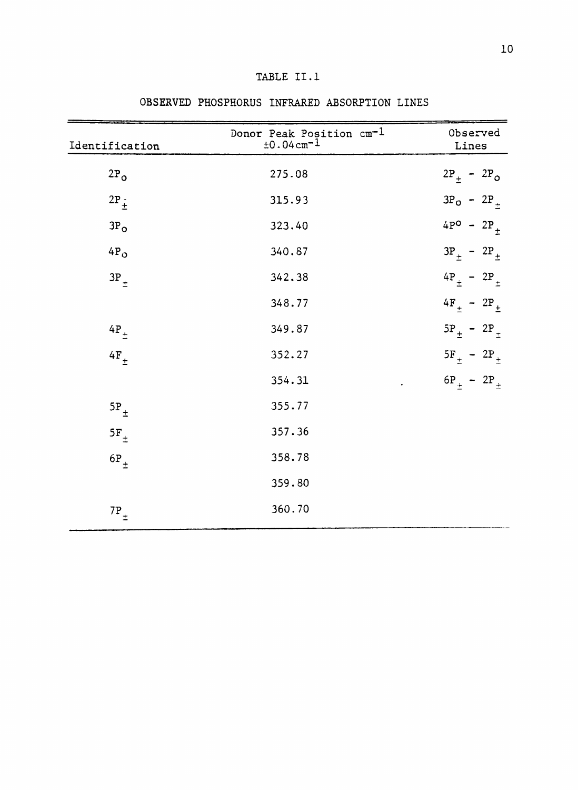| Identification  | Donor Peak Position cm <sup>-1</sup><br>$±0.04cm-1$ | Observed<br>Lines            |
|-----------------|-----------------------------------------------------|------------------------------|
| $2P_{O}$        | 275.08                                              | $2P_+ - 2P_O$                |
| $2P_{\pm}$      | 315.93                                              | $3P_0 - 2P_+$                |
| 3P <sub>O</sub> | 323.40                                              | $4P^O - 2P_+$                |
| $4P_0$          | 340.87                                              | $3P_{+}$ - $2P_{+}$          |
| $3P_{\pm}$      | 342.38                                              | $4P_{\pm}$ - 2P <sub>+</sub> |
|                 | 348.77                                              | $4F_{+}$ - $2P_{+}$          |
| $4P_{\pm}$      | 349.87                                              | $5P_{\pm} - 2P_{\pm}$        |
| $4F_{\pm}$      | 352.27                                              | $5F_{\pm}$ - 2P <sub>+</sub> |
|                 | 354.31                                              | $6P_{\pm} - 2P_{\pm}$        |
| $5P_+$          | 355.77                                              |                              |
| $5F_+$          | 357.36                                              |                              |
| $6P_+$          | 358.78                                              |                              |
|                 | 359.80                                              |                              |
| $7P_{\pm}$      | 360.70                                              |                              |

## OBSERVED PHOSPHORUS INFRARED ABSORPTION LINES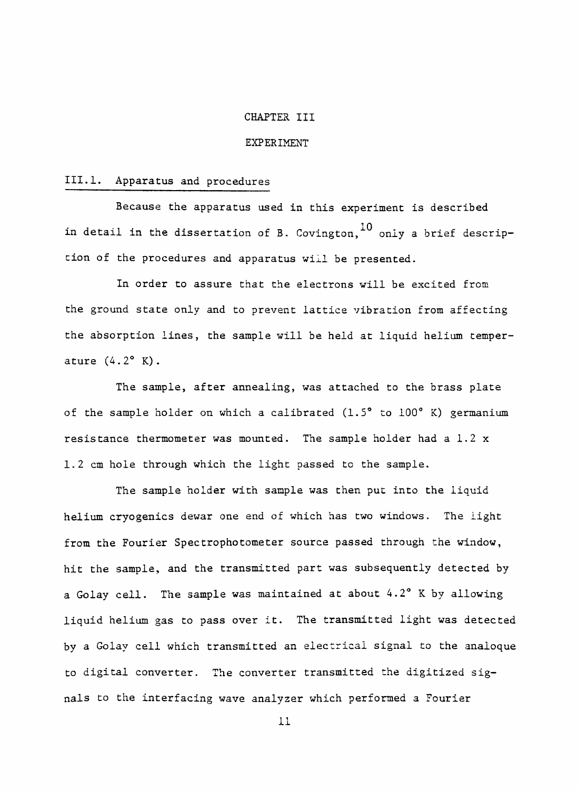#### CHAPTER III

#### EXPERIMENT

#### III.l. Apparatus and procedures

Because the apparatus used in this experiment is described in detail in the dissertation of B. Covington,  $^{10}$  only a brief description of the procedures and apparatus will be presented.

In order to assure that the electrons will be excited from the ground state only and to prevent lattice vibration from affecting the absorption lines, the sample will be held at liquid helium temperature (4.2° K).

The sample, after annealing, was attached to the brass plate of the sample holder on which a calibrated (1.5° to 100° K) germanium resistance thermometer was mounted. The sample holder had a 1.2 x 1.2 cm hole through which the light passed to the sample.

The sample holder with sample was then put into the liquid helium cryogenics dewar one end of which has two windows. The light from the Fourier Spectrophotometer source passed through the window, hit the sample, and the transmitted part was subsequently detected by a Golay cell. The sample was maintained at about 4.2° K by allowing liquid helium gas to pass over it. The transmitted light was detected by a Golay cell which transmitted an electrical signal to the analoque to digital converter. The converter transmitted the digitized signals to the interfacing wave analyzer which performed a Fourier

11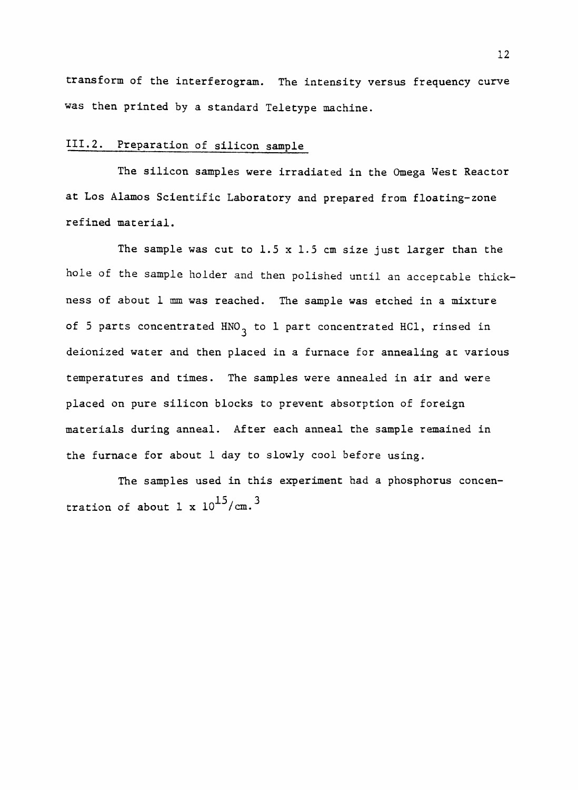transform of the interferogram. The intensity versus frequency curve was then printed by a standard Teletype machine.

## III.2. Preparation of silicon sample

The silicon samples were irradiated in the Omega West Reactor at Los Alamos Scientific Laboratory and prepared from floating-zone refined material.

The sample was cut to  $1.5 \times 1.5$  cm size just larger than the hole of the sample holder and then polished until an acceptable thickness of about 1 mm was reached. The sample was etched in a mixture of 5 parts concentrated HNO<sub>3</sub> to 1 part concentrated HCl, rinsed in deionized water and then placed in a furnace for annealing at various temperatures and times. The samples were annealed in air and were placed on pure silicon blocks to prevent absorption of foreign materials during anneal. After each anneal the sample remained in the furnace for about 1 day to slowly cool before using.

The samples used in this experiment had a phosphorus concentration of about 1 x  $10^{15}/cm.^3$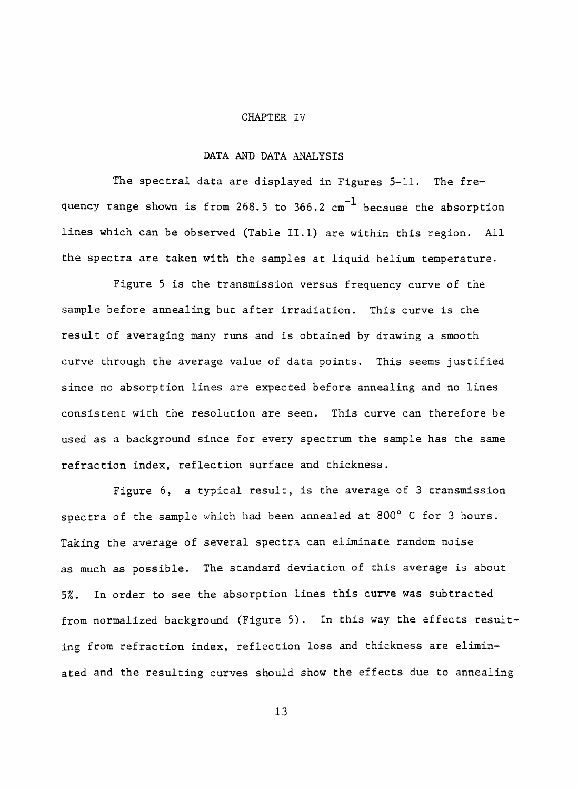#### CHAPTER IV

### DATA AND DATA ANALYSIS

The spectral data are displayed in Figures 5-11. The frequency range shown is from 268.5 to  $366.2$   $\text{cm}^{-1}$  because the absorption lines which can be observed (Table II.1) are within this region. All the spectra are taken with the samples at liquid helium temperature.

Figure 5 is the transmission versus frequency curve of the sample before annealing but after irradiation. This curve is the result of averaging many runs and is obtained by drawing a smooth curve through the average value of data points. This seems justified since no absorption lines are expected before annealing and no lines consistent with the resolution are seen. This curve can therefore be used as a background since for every spectrum the sample has the same refraction index, reflection surface and thickness.

Figure 6, a typical result, is the average of 3 transmission spectra of the sample which had been annealed at 800° C for 3 hours. Taking the average of several spectra can eliminate random noise as much as possible. The standard deviation of this average is about 5%. In order to see the absorption lines this curve was subtracted from normalized background (Figure 5). In this way the effects resulting from refraction index, reflection loss and thickness are eliminated and the resulting curves should show the effects due to annealing

13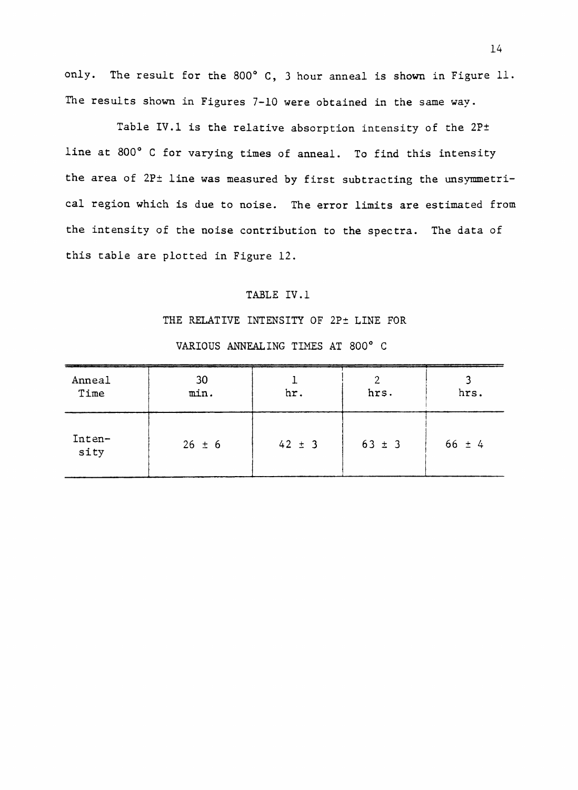only. The result for the 800° C, 3 hour anneal is shown in Figure 11. The results shown in Figures 7-10 were obtained in the same way.

Table IV.1 is the relative absorption intensity of the 2P± line at 800° C for varying times of anneal. To find this intensity the area of 2P± line was measured by first subtracting the unsymmetrical region which is due to noise. The error limits are estimated from the intensity of the noise contribution to the spectra. The data of this table are plotted in Figure 12.

## TABLE IV.1

#### THE RELATIVE INTENSITY OF 2P± LINE FOR

| Anneal<br>Time | 30<br>min. | hr.        | hrs.       | hrs.       |
|----------------|------------|------------|------------|------------|
| Inten-<br>sity | $26 \pm 6$ | $42 \pm 3$ | $63 \pm 3$ | $66 \pm 4$ |

## VARIOUS ANNEALING TIMES AT 800° C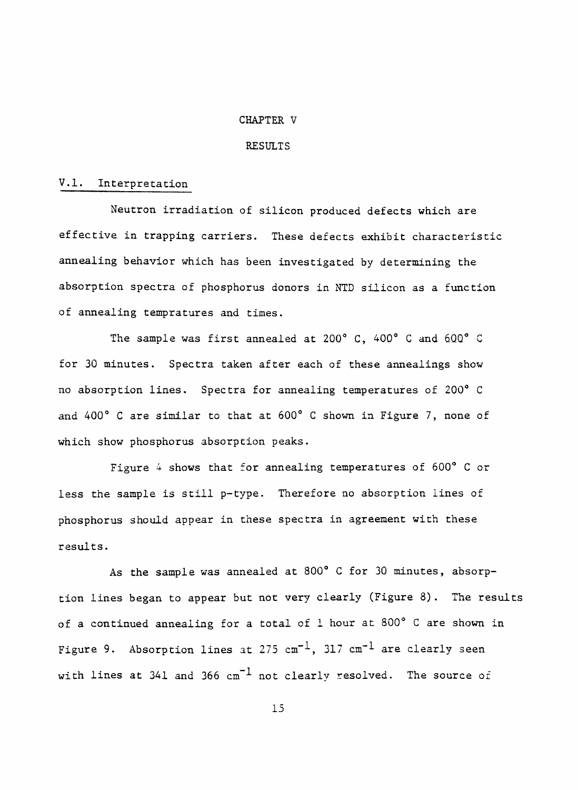#### CHAPTER V

#### RESULTS

#### V.l. Interpretation

Neutron irradiation of silicon produced defects which are effective in trapping carriers. These defects exhibit characteristic annealing behavior which has been investigated by determining the absorption spectra of phosphorus donors in NTD silicon as a function of annealing tempratures and times.

The sample was first annealed at 200° C, 400° C and 600° C for 30 minutes. Spectra taken after each of these annealings show no absorption lines. Spectra for annealing temperatures of 200° C and 400° C are similar to that at 600° C shown in Figure 7, none of which show phosphorus absorption peaks.

Figure 4 shows that for annealing temperatures of 600° C or less the sample is still p-type. Therefore no absorption lines of phosphorus should appear in these spectra in agreement with these results.

As the sample was annealed at 800° C for 30 minutes, absorption lines began to appear but not very clearly (Figure 8), The results of a continued annealing for a total of 1 hour at 800° C are shown in Figure 9. Absorption lines at 275  $cm^{-1}$ , 317  $cm^{-1}$  are clearly seen with lines at 341 and 366  $cm^{-1}$  not clearly resolved. The source of

15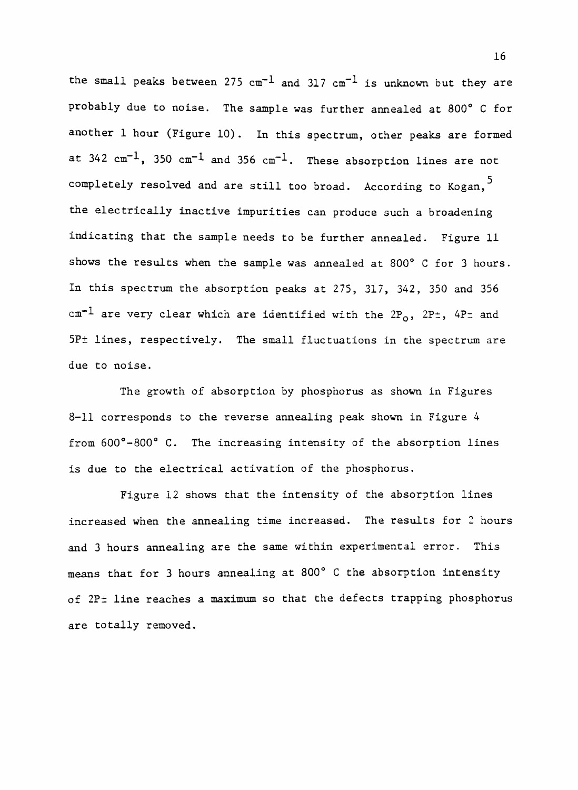the small peaks between 275  $cm^{-1}$  and 317  $cm^{-1}$  is unknown but they are probably due to noise. The sample was further annealed at 800° C for another 1 hour (Figure 10). In this spectrum, other peaks are formed at  $342 \text{ cm}^{-1}$ ,  $350 \text{ cm}^{-1}$  and  $356 \text{ cm}^{-1}$ . These absorption lines are not completely resolved and are still too broad. According to Kogan,<sup>5</sup> the electrically inactive impurities can produce such a broadening indicating that the sample needs to be further annealed. Figure 11 shows the results when the sample was annealed at 800° C for 3 hours. In this spectrum the absorption peaks at 275, 317, 342, 350 and 356 cm<sup>-1</sup> are very clear which are identified with the  $2P_0$ ,  $2P^{\pm}$ ,  $4P^{\pm}$  and 5P± lines, respectively. The small fluctuations in the spectrum are due to noise.

The growth of absorption by phosphorus as shown in Figures 8-11 corresponds to the reverse annealing peak shown in Figure 4 from 600°-800° C. The increasing intensity of the absorption lines is due to the electrical activation of the phosphorus.

Figure 12 shows that the intensity of the absorption lines increased when the annealing time increased. The results for 2 hours and 3 hours annealing are the same within experimental error. This means that for 3 hours annealing at 800° C the absorption intensity of 2P<sup>+</sup> line reaches a maximum so that the defects trapping phosphorus are totally removed.

16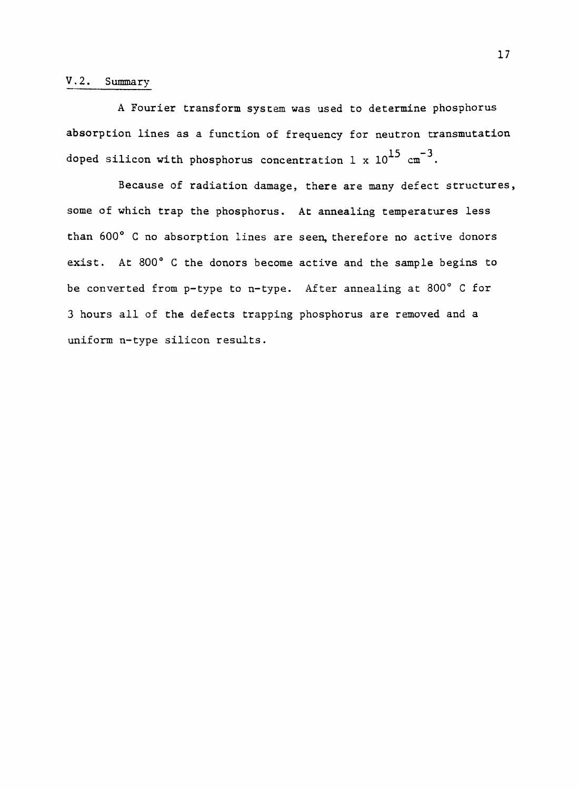## V.2, Summary

A Fourier transform system was used to determine phosphorus absorption lines as a function of frequency for neutron transmutation doped silicon with phosphorus concentration 1 x  $10^{15}$  cm<sup>-3</sup>.

Because of radiation damage, there are many defect structures, some of which trap the phosphorus. At annealing temperatures less than 600° C no absorption lines are seen, therefore no active donors exist. At 800° C the donors become active and the sample begins to be converted from p-type to n-type. After annealing at 800° C for 3 hours all of the defects trapping phosphorus are removed and a uniform n-type silicon results.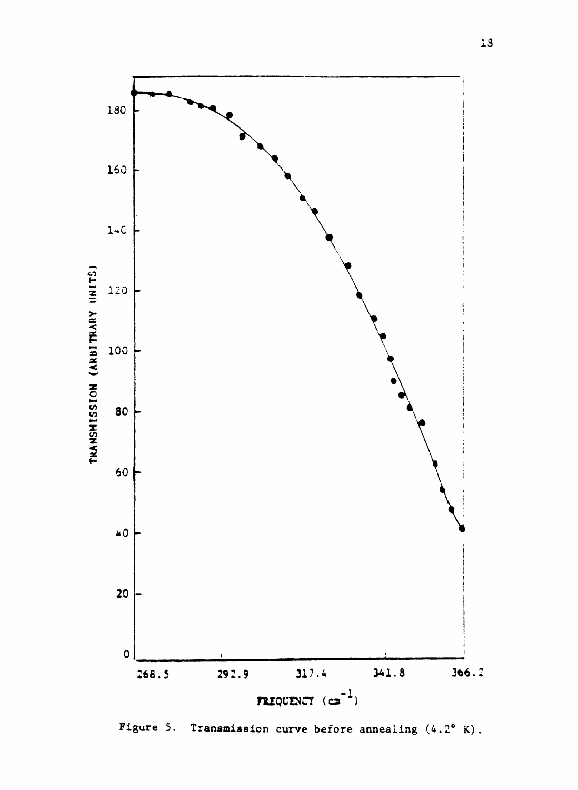

Figure 5. Transmission curve before annealing (4.2° K).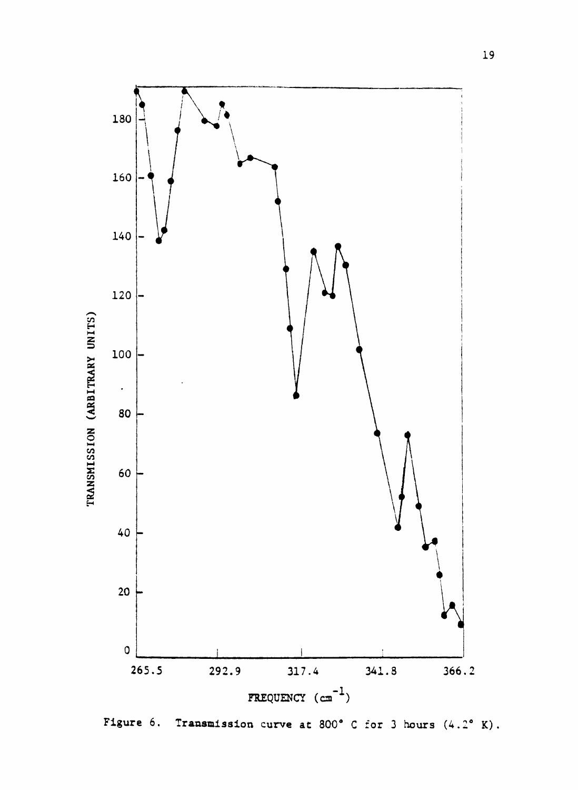

Figure 6. Transmission curve at 800° C for 3 hours (4.2° K).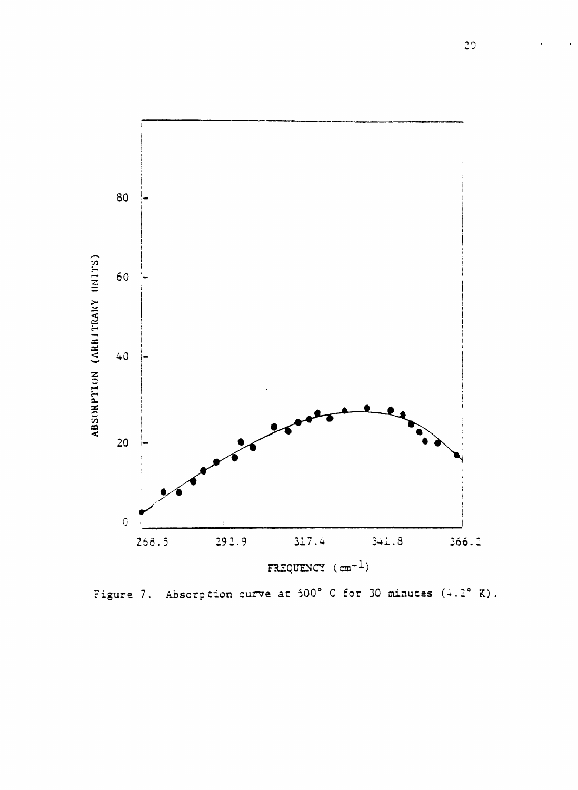

Figure 7. Abscrption curve at  $500^{\circ}$  C for 30 minutes  $(4.2^{\circ}$  K).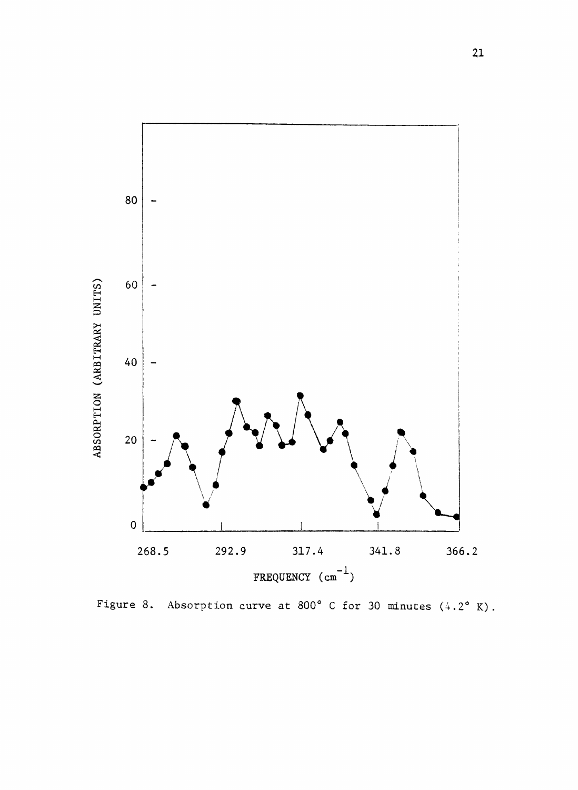

Figure 8. Absorption curve at 800° C for 30 minutes  $(4.2^{\circ} K)$ .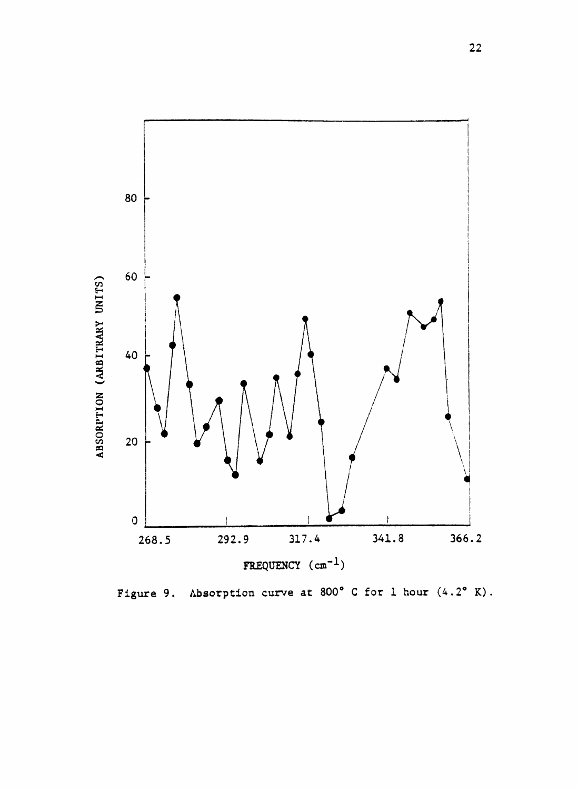

Figure 9. Absorption curve at 800° C for 1 hour  $(4.2^{\circ} K)$ .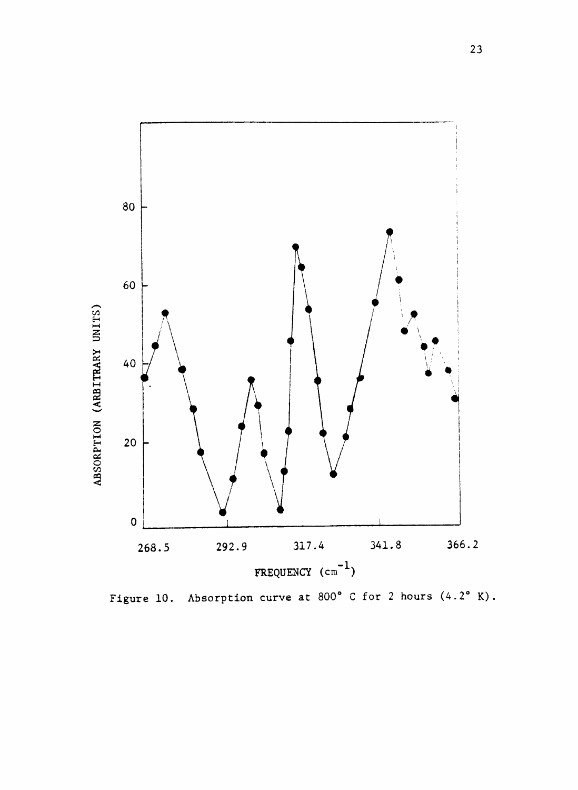

Figure 10. Absorption curve at 800° C for 2 hours  $(4.2^{\circ} K)$ .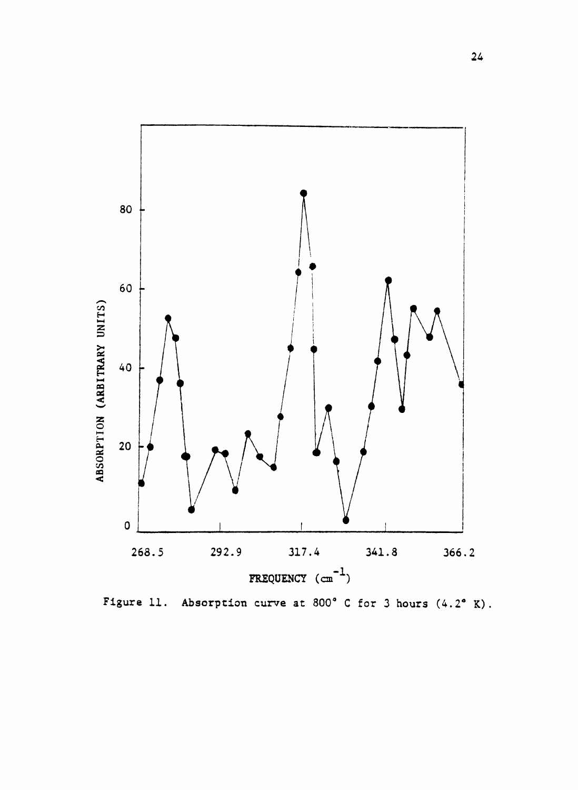

Figure 11. Absorption curve at 800° C for 3 hours  $(4.2^{\circ} K)$ .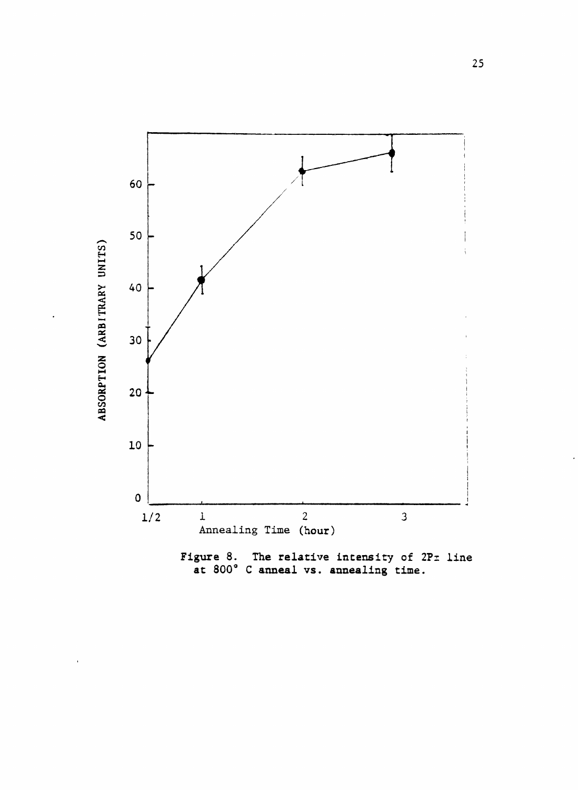

Figure 8. The relative intensity of  $2P\pm$  line at 800° C anneal vs. annealing time.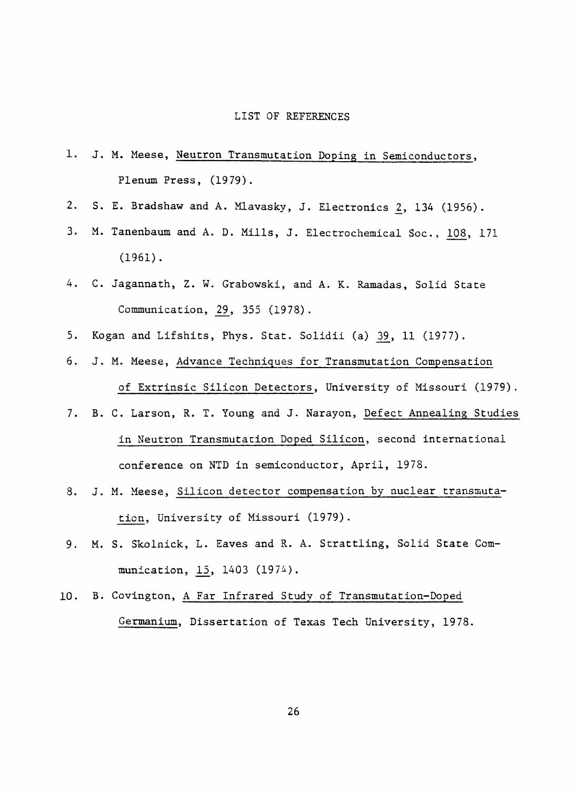#### LIST OF REFERENCES

- 1. J. M. Meese, Neutron Transmutation Doping in Semiconductors, Plenum Press, (1979).
- 2. S. E. Bradshaw and A. Mlavasky, J. Electronics 2, 134 (1956).
- 3. M. Tanenbaum and A. D. Mills, J. Electrochemical Soc., 108, 171 (1961).
- 4. C. Jagannath, Z. W. Grabowski, and A. K. Ramadas, Solid State Communication, 29, 355 (1978).
- 5. Kogan and Lifshits, Phys. Stat. Solidii (a) 39, 11 (1977).
- 6. J. M. Meese, Advance Techniques for Transmutation Compensation of Extrinsic Silicon Detectors, University of Missouri (1979).
- 7. B. C. Larson, R. T. Young and J. Narayon, Defect Annealing Studies in Neutron Transmutation Doped Silicon, second international conference on NTD in semiconductor, April, 1978.
- 8. J. M. Meese, Silicon detector compensation by nuclear transmutation. University of Missouri (1979).
- 9. M. S, Skolnick, L. Eaves and R. A. Strattling, Solid State Communication, 15, 1403 (1974).
- 10. B. Covington, A Far Infrared Study of Transmutation-Doped Germanium, Dissertation of Texas Tech University, 1978.